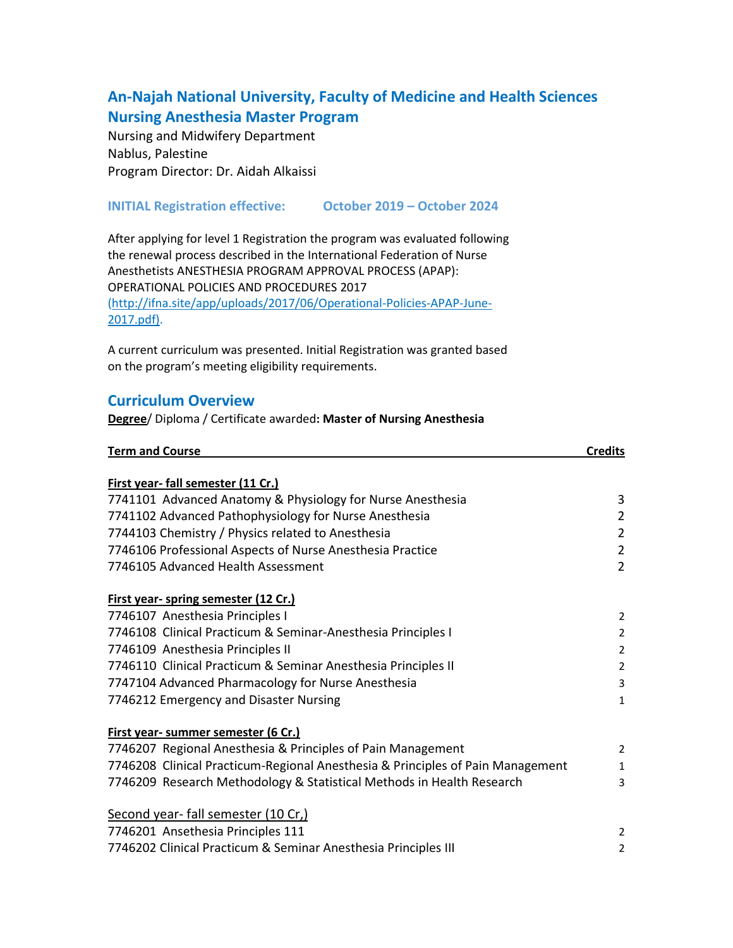## **An-Najah National University, Faculty of Medicine and Health Sciences Nursing Anesthesia Master Program**

Nursing and Midwifery Department Nablus, Palestine Program Director: Dr. Aidah Alkaissi

## **INITIAL Registration effective: October 2019 – October 2024**

After applying for level 1 Registration the program was evaluated following the renewal process described in the International Federation of Nurse Anesthetists ANESTHESIA PROGRAM APPROVAL PROCESS (APAP): OPERATIONAL POLICIES AND PROCEDURES 2017 (http://ifna.site/app/uploads/2017/06/Operational-Policies-APAP-June-2017.pdf).

A current curriculum was presented. Initial Registration was granted based on the program's meeting eligibility requirements.

## **Curriculum Overview**

**Degree**/ Diploma / Certificate awarded**: Master of Nursing Anesthesia**

| <b>Term and Course</b>                                                         | <b>Credits</b> |
|--------------------------------------------------------------------------------|----------------|
|                                                                                |                |
| First year-fall semester (11 Cr.)                                              |                |
| 7741101 Advanced Anatomy & Physiology for Nurse Anesthesia                     | 3              |
| 7741102 Advanced Pathophysiology for Nurse Anesthesia                          | $\overline{2}$ |
| 7744103 Chemistry / Physics related to Anesthesia                              | $\overline{2}$ |
| 7746106 Professional Aspects of Nurse Anesthesia Practice                      | $\overline{2}$ |
| 7746105 Advanced Health Assessment                                             | $\overline{2}$ |
| First year- spring semester (12 Cr.)                                           |                |
| 7746107 Anesthesia Principles I                                                | $\overline{2}$ |
| 7746108 Clinical Practicum & Seminar-Anesthesia Principles I                   | $\overline{2}$ |
| 7746109 Anesthesia Principles II                                               | $\overline{2}$ |
| 7746110 Clinical Practicum & Seminar Anesthesia Principles II                  | $\overline{2}$ |
| 7747104 Advanced Pharmacology for Nurse Anesthesia                             | 3              |
| 7746212 Emergency and Disaster Nursing                                         | $\mathbf{1}$   |
| First year- summer semester (6 Cr.)                                            |                |
| 7746207 Regional Anesthesia & Principles of Pain Management                    | $\overline{2}$ |
| 7746208 Clinical Practicum-Regional Anesthesia & Principles of Pain Management | $\mathbf{1}$   |
| 7746209 Research Methodology & Statistical Methods in Health Research          | 3              |
| Second year-fall semester (10 Cr,)                                             |                |
| 7746201 Ansethesia Principles 111                                              | 2              |
| 7746202 Clinical Practicum & Seminar Anesthesia Principles III                 | $\overline{2}$ |